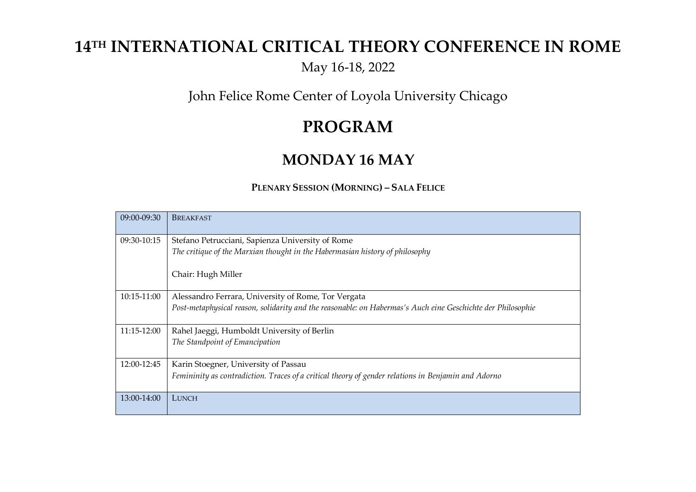# **14 TH INTERNATIONAL CRITICAL THEORY CONFERENCE IN ROME**

May 16-18, 2022

John Felice Rome Center of Loyola University Chicago

## **PROGRAM**

### **MONDAY 16 MAY**

#### **PLENARY SESSION (MORNING) – SALA FELICE**

| 09:00-09:30 | <b>BREAKFAST</b>                                                                                            |
|-------------|-------------------------------------------------------------------------------------------------------------|
| 09:30-10:15 | Stefano Petrucciani, Sapienza University of Rome                                                            |
|             | The critique of the Marxian thought in the Habermasian history of philosophy                                |
|             | Chair: Hugh Miller                                                                                          |
| 10:15-11:00 | Alessandro Ferrara, University of Rome, Tor Vergata                                                         |
|             | Post-metaphysical reason, solidarity and the reasonable: on Habermas's Auch eine Geschichte der Philosophie |
| 11:15-12:00 | Rahel Jaeggi, Humboldt University of Berlin                                                                 |
|             | The Standpoint of Emancipation                                                                              |
| 12:00-12:45 | Karin Stoegner, University of Passau                                                                        |
|             | Femininity as contradiction. Traces of a critical theory of gender relations in Benjamin and Adorno         |
| 13:00-14:00 | LUNCH                                                                                                       |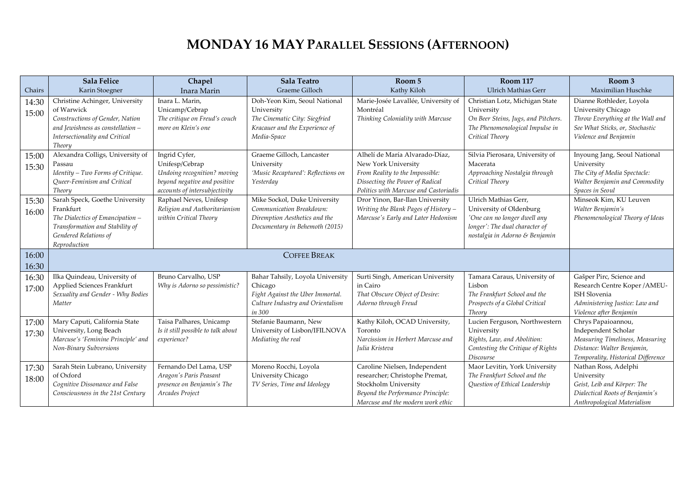## **MONDAY 16 MAY PARALLEL SESSIONS (AFTERNOON)**

| Chairs | <b>Sala Felice</b><br>Karin Stoegner          | Chapel<br>Inara Marin                                   | <b>Sala Teatro</b><br>Graeme Gilloch                      | Room 5<br>Kathy Kiloh                                                      | <b>Room 117</b><br><b>Ulrich Mathias Gerr</b>           | Room 3<br>Maximilian Huschke                              |
|--------|-----------------------------------------------|---------------------------------------------------------|-----------------------------------------------------------|----------------------------------------------------------------------------|---------------------------------------------------------|-----------------------------------------------------------|
| 14:30  | Christine Achinger, University                | Inara L. Marin,                                         | Doh-Yeon Kim, Seoul National                              | Marie-Josée Lavallée, University of                                        | Christian Lotz, Michigan State                          | Dianne Rothleder, Loyola                                  |
|        | of Warwick                                    | Unicamp/Cebrap                                          | University                                                | Montréal                                                                   | University                                              | University Chicago                                        |
| 15:00  | Constructions of Gender, Nation               | The critique on Freud's couch                           | The Cinematic City: Siegfried                             | Thinking Coloniality with Marcuse                                          | On Beer Steins, Jugs, and Pitchers.                     | Throw Everything at the Wall and                          |
|        | and Jewishness as constellation -             | more on Klein's one                                     | Kracauer and the Experience of                            |                                                                            | The Phenomenological Impulse in                         | See What Sticks, or, Stochastic                           |
|        | Intersectionality and Critical<br>Theory      |                                                         | Media-Space                                               |                                                                            | Critical Theory                                         | Violence and Benjamin                                     |
| 15:00  | Alexandra Colligs, University of              | Ingrid Cyfer,                                           | Graeme Gilloch, Lancaster                                 | Alhelí de María Alvarado-Díaz,                                             | Silvia Pierosara, University of                         | Inyoung Jang, Seoul National                              |
| 15:30  | Passau                                        | Unifesp/Cebrap                                          | University                                                | New York University                                                        | Macerata                                                | University                                                |
|        | Identity - Two Forms of Critique.             | Undoing recognition? moving                             | 'Music Recaptured': Reflections on                        | From Reality to the Impossible:                                            | Approaching Nostalgia through                           | The City of Media Spectacle:                              |
|        | Queer-Feminism and Critical                   | beyond negative and positive                            | Yesterday                                                 | Dissecting the Power of Radical                                            | Critical Theory                                         | Walter Benjamin and Commodity                             |
|        | Theory                                        | accounts of intersubjectivity                           |                                                           | Politics with Marcuse and Castoriadis                                      |                                                         | Spaces in Seoul                                           |
| 15:30  | Sarah Speck, Goethe University                | Raphael Neves, Unifesp                                  | Mike Sockol, Duke University                              | Dror Yinon, Bar-Ilan University                                            | Ulrich Mathias Gerr,                                    | Minseok Kim, KU Leuven                                    |
| 16:00  | Frankfurt<br>The Dialectics of Emancipation - | Religion and Authoritarianism<br>within Critical Theory | Communication Breakdown:<br>Diremption Aesthetics and the | Writing the Blank Pages of History -<br>Marcuse's Early and Later Hedonism | University of Oldenburg<br>'One can no longer dwell any | Walter Benjamin's<br>Phenomenological Theory of Ideas     |
|        | Transformation and Stability of               |                                                         | Documentary in Behemoth (2015)                            |                                                                            | longer': The dual character of                          |                                                           |
|        | Gendered Relations of                         |                                                         |                                                           |                                                                            | nostalgia in Adorno & Benjamin                          |                                                           |
|        | Reproduction                                  |                                                         |                                                           |                                                                            |                                                         |                                                           |
| 16:00  |                                               |                                                         |                                                           |                                                                            |                                                         |                                                           |
| 16:30  |                                               |                                                         |                                                           |                                                                            |                                                         |                                                           |
| 16:30  | Ilka Quindeau, University of                  | Bruno Carvalho, USP                                     | Bahar Tahsily, Loyola University                          | Surti Singh, American University                                           | Tamara Caraus, University of                            | Gašper Pirc, Science and                                  |
| 17:00  | Applied Sciences Frankfurt                    | Why is Adorno so pessimistic?                           | Chicago                                                   | in Cairo                                                                   | Lisbon                                                  | Research Centre Koper / AMEU-                             |
|        | Sexuality and Gender - Why Bodies             |                                                         | Fight Against the Uber Immortal.                          | That Obscure Object of Desire:                                             | The Frankfurt School and the                            | <b>ISH Slovenia</b>                                       |
|        | Matter                                        |                                                         | Culture Industry and Orientalism<br>in 300                | Adorno through Freud                                                       | Prospects of a Global Critical<br>Theory                | Administering Justice: Law and<br>Violence after Benjamin |
|        | Mary Caputi, California State                 | Taisa Palhares, Unicamp                                 | Stefanie Baumann, New                                     | Kathy Kiloh, OCAD University,                                              | Lucien Ferguson, Northwestern                           | Chrys Papaioannou,                                        |
| 17:00  | University, Long Beach                        | Is it still possible to talk about                      | University of Lisbon/IFILNOVA                             | Toronto                                                                    | University                                              | Independent Scholar                                       |
| 17:30  | Marcuse's 'Feminine Principle' and            | experience?                                             | Mediating the real                                        | Narcissism in Herbert Marcuse and                                          | Rights, Law, and Abolition:                             | Measuring Timeliness, Measuring                           |
|        | Non-Binary Subversions                        |                                                         |                                                           | Julia Kristeva                                                             | Contesting the Critique of Rights                       | Distance: Walter Benjamin,                                |
|        |                                               |                                                         |                                                           |                                                                            | Discourse                                               | Temporality, Historical Difference                        |
| 17:30  | Sarah Stein Lubrano, University               | Fernando Del Lama, USP                                  | Moreno Rocchi, Loyola                                     | Caroline Nielsen, Independent                                              | Maor Levitin, York University                           | Nathan Ross, Adelphi                                      |
| 18:00  | of Oxford                                     | Aragon's Paris Peasant                                  | University Chicago                                        | researcher; Christophe Premat,                                             | The Frankfurt School and the                            | University                                                |
|        | Cognitive Dissonance and False                | presence on Benjamin's The                              | TV Series, Time and Ideology                              | Stockholm University                                                       | Question of Ethical Leadership                          | Geist, Leib and Körper: The                               |
|        | Consciousness in the 21st Century             | Arcades Project                                         |                                                           | Beyond the Performance Principle:<br>Marcuse and the modern work ethic     |                                                         | Dialectical Roots of Benjamin's                           |
|        |                                               |                                                         |                                                           |                                                                            |                                                         | Anthropological Materialism                               |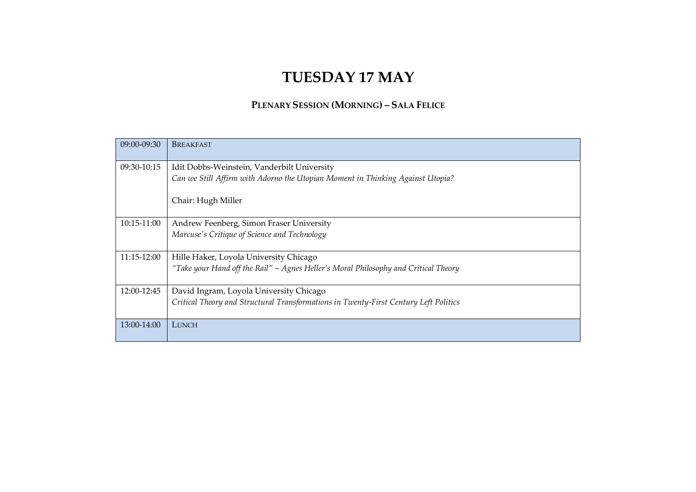## **TUESDAY 17 MAY**

#### **PLENARY SESSION (MORNING) – SALA FELICE**

| 09:00-09:30 | <b>BREAKFAST</b>                                                                     |
|-------------|--------------------------------------------------------------------------------------|
| 09:30-10:15 | Idit Dobbs-Weinstein, Vanderbilt University                                          |
|             | Can we Still Affirm with Adorno the Utopian Moment in Thinking Against Utopia?       |
|             | Chair: Hugh Miller                                                                   |
| 10:15-11:00 | Andrew Feenberg, Simon Fraser University                                             |
|             | Marcuse's Critique of Science and Technology                                         |
| 11:15-12:00 | Hille Haker, Loyola University Chicago                                               |
|             | "Take your Hand off the Rail" – Agnes Heller's Moral Philosophy and Critical Theory  |
| 12:00-12:45 | David Ingram, Loyola University Chicago                                              |
|             | Critical Theory and Structural Transformations in Twenty-First Century Left Politics |
| 13:00-14:00 | LUNCH                                                                                |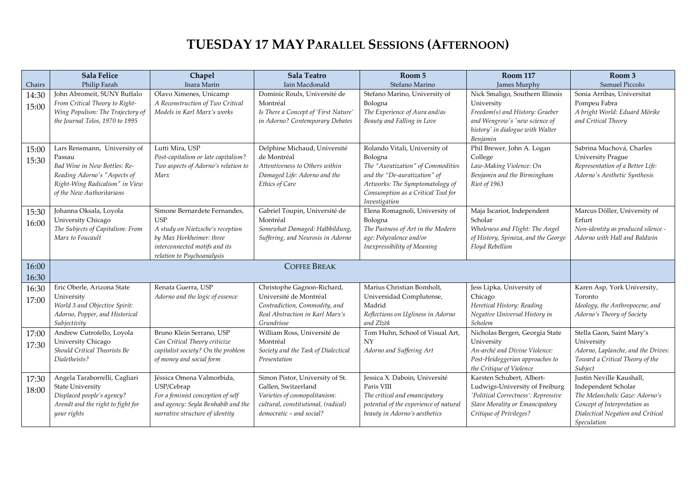## **TUESDAY 17 MAY PARALLEL SESSIONS (AFTERNOON)**

| Chairs | Sala Felice<br>Philip Farah                              | Chapel<br>Inara Marin                                        | <b>Sala Teatro</b><br>Iain Macdonald                                | Room 5<br>Stefano Marino                    | <b>Room 117</b><br>James Murphy                       | Room 3<br>Samuel Piccolo                                           |
|--------|----------------------------------------------------------|--------------------------------------------------------------|---------------------------------------------------------------------|---------------------------------------------|-------------------------------------------------------|--------------------------------------------------------------------|
| 14:30  | John Abromeit, SUNY Buffalo                              | Olavo Ximenes, Unicamp                                       | Dominic Roulx, Université de                                        | Stefano Marino, University of               | Nick Smaligo, Southern Illinois                       | Sonia Arribas, Universitat                                         |
| 15:00  | From Critical Theory to Right-                           | A Reconstruction of Two Critical                             | Montréal                                                            | Bologna                                     | University                                            | Pompeu Fabra                                                       |
|        | Wing Populism: The Trajectory of                         | Models in Karl Marx's works                                  | Is There a Concept of 'First Nature'                                | The Experience of Aura and/as               | Freedom(s) and History: Graeber                       | A bright World: Eduard Mörike                                      |
|        | the Journal Telos, 1970 to 1995                          |                                                              | in Adorno? Contemporary Debates                                     | Beauty and Falling in Love                  | and Wengrow's 'new science of                         | and Critical Theory                                                |
|        |                                                          |                                                              |                                                                     |                                             | history' in dialogue with Walter                      |                                                                    |
|        |                                                          |                                                              |                                                                     |                                             | Benjamin                                              |                                                                    |
| 15:00  | Lars Rensmann, University of                             | Lutti Mira, USP                                              | Delphine Michaud, Université                                        | Rolando Vitali, University of               | Phil Brewer, John A. Logan                            | Sabrina Muchová, Charles                                           |
| 15:30  | Passau                                                   | Post-capitalism or late capitalism?                          | de Montréal                                                         | Bologna                                     | College                                               | <b>University Prague</b>                                           |
|        | Bad Wine in New Bottles: Re-                             | Two aspects of Adorno's relation to                          | Attentiveness to Others within                                      | The "Auratization" of Commodities           | Law-Making Violence: On                               | Representation of a Better Life:                                   |
|        | Reading Adorno's "Aspects of                             | Marx                                                         | Damaged Life: Adorno and the                                        | and the "De-auratization" of                | Benjamin and the Birmingham                           | Adorno's Aesthetic Synthesis                                       |
|        | Right-Wing Radicalism" in View                           |                                                              | Artworks: The Symptomatology of<br>Ethics of Care                   |                                             | Riot of 1963                                          |                                                                    |
|        | of the New Authoritarians                                |                                                              |                                                                     | Consumption as a Critical Tool for          |                                                       |                                                                    |
|        |                                                          |                                                              |                                                                     | Investigation                               |                                                       |                                                                    |
| 15:30  | Johanna Oksala, Loyola<br>University Chicago             | Simone Bernardete Fernandes,<br><b>USP</b>                   | Gabriel Toupin, Université de<br>Montréal                           | Elena Romagnoli, University of<br>Bologna   | Maja Iscariot, Independent<br>Scholar                 | Marcus Döller, University of<br>Erfurt                             |
| 16:00  | The Subjects of Capitalism: From                         |                                                              |                                                                     | The Pastness of Art in the Modern           | Wholeness and Flight: The Angel                       |                                                                    |
|        | Marx to Foucault                                         | A study on Nietzsche's reception<br>by Max Horkheimer: three | Somewhat Damaged: Halbbildung,<br>Suffering, and Neurosis in Adorno | age: Polyvalence and/or                     | of History, Spinoza, and the George                   | Non-identity as produced silence -<br>Adorno with Hall and Baldwin |
|        |                                                          | interconnected motifs and its                                |                                                                     | Inexpressibility of Meaning                 | Floyd Rebellion                                       |                                                                    |
|        |                                                          | relation to Psychoanalysis                                   |                                                                     |                                             |                                                       |                                                                    |
| 16:00  |                                                          |                                                              |                                                                     |                                             |                                                       |                                                                    |
| 16:30  |                                                          |                                                              | <b>COFFEE BREAK</b>                                                 |                                             |                                                       |                                                                    |
| 16:30  | Eric Oberle, Arizona State                               | Renata Guerra, USP                                           | Christophe Gagnon-Richard,                                          | Marius Christian Bomholt,                   | Jess Lipka, University of                             | Karen Asp, York University,                                        |
| 17:00  | University                                               | Adorno and the logic of essence                              | Université de Montréal                                              | Universidad Complutense,                    | Chicago                                               | Toronto                                                            |
|        | World 3 and Objective Spirit:                            |                                                              | Contradiction, Commodity, and                                       | Madrid                                      | Heretical History: Reading                            | Ideology, the Anthropocene, and                                    |
|        | Adorno, Popper, and Historical                           |                                                              | Real Abstraction in Karl Marx's                                     | Reflections on Ugliness in Adorno           | Negative Universal History in                         | Adorno's Theory of Society                                         |
|        | Subjectivity                                             |                                                              | Grundrisse                                                          | and Zizek                                   | Scholem                                               |                                                                    |
| 17:00  | Andrew Cutrofello, Loyola                                | Bruno Klein Serrano, USP                                     | William Ross, Université de                                         | Tom Huhn, School of Visual Art,             | Nicholas Bergen, Georgia State                        | Stella Gaon, Saint Mary's                                          |
| 17:30  | University Chicago                                       | Can Critical Theory criticize                                | Montréal                                                            | <b>NY</b>                                   | University                                            | University                                                         |
|        | Should Critical Theorists Be                             | capitalist society? On the problem                           | Society and the Task of Dialectical                                 | Adorno and Suffering Art                    | An-archē and Divine Violence:                         | Adorno, Laplanche, and the Drives:                                 |
|        | Dialetheists?                                            | of money and social form                                     | Presentation                                                        |                                             | Post-Heideggerian approaches to                       | Toward a Critical Theory of the                                    |
|        |                                                          |                                                              |                                                                     |                                             | the Critique of Violence<br>Karsten Schubert, Albert- | Subject<br>Justin Neville Kaushall,                                |
| 17:30  | Angela Taraborrelli, Cagliari<br><b>State University</b> | Jéssica Omena Valmorbida,<br>USP/Cebrap                      | Simon Pistor, University of St.<br>Gallen, Switzerland              | Jessica X. Daboin, Université<br>Paris VIII | Ludwigs-University of Freiburg                        | Independent Scholar                                                |
| 18:00  | Displaced people's agency?                               | For a feminist conception of self                            | Varieties of cosmopolitanism:                                       | The critical and emancipatory               | 'Political Correctness': Repressive                   | The Melancholic Gaze: Adorno's                                     |
|        | Arendt and the right to fight for                        | and agency: Seyla Benhabib and the                           | cultural, constitutional, (radical)                                 | potential of the experience of natural      | Slave Morality or Emancipatory                        | Concept of Interpretation as                                       |
|        | your rights                                              | narrative structure of identity                              | democratic - and social?                                            | beauty in Adorno's aesthetics               | Critique of Privileges?                               | Dialectical Negation and Critical                                  |
|        |                                                          |                                                              |                                                                     |                                             |                                                       | Speculation                                                        |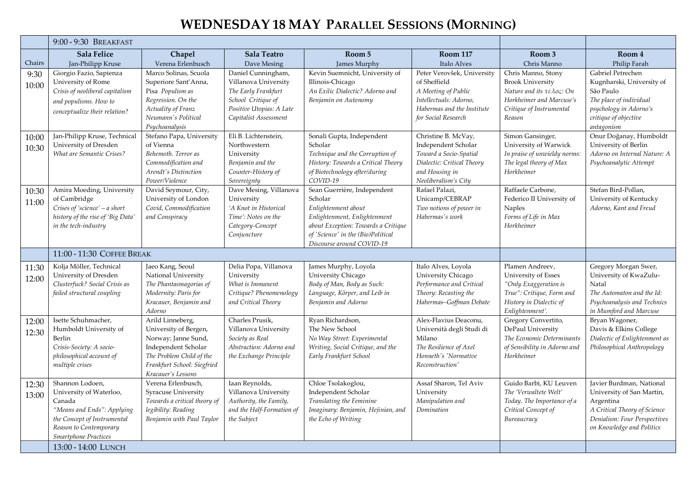## **WEDNESDAY 18 MAY PARALLEL SESSIONS (MORNING)**

|        | 9:00 - 9:30 BREAKFAST                                |                                                 |                                            |                                                                     |                                                |                                            |                               |
|--------|------------------------------------------------------|-------------------------------------------------|--------------------------------------------|---------------------------------------------------------------------|------------------------------------------------|--------------------------------------------|-------------------------------|
|        | Sala Felice                                          | Chapel                                          | <b>Sala Teatro</b>                         | Room 5                                                              | <b>Room 117</b>                                | Room 3                                     | Room 4                        |
| Chairs | Jan-Philipp Kruse                                    | Verena Erlenbusch                               | Dave Mesing                                | James Murphy                                                        | Italo Alves                                    | Chris Manno                                | Philip Farah                  |
| 9:30   | Giorgio Fazio, Sapienza                              | Marco Solinas, Scuola                           | Daniel Cunningham,                         | Kevin Suemnicht, University of                                      | Peter Verovšek, University                     | Chris Manno, Stony                         | Gabriel Petrechen             |
| 10:00  | University of Rome                                   | Superiore Sant'Anna,                            | Villanova University                       | Illinois-Chicago                                                    | of Sheffield                                   | <b>Brook University</b>                    | Kugnharski, University of     |
|        | Crisis of neoliberal capitalism                      | Pisa Populism as                                | The Early Frankfurt                        | An Exilic Dialectic? Adorno and                                     | A Meeting of Public                            | Nature and its τέλος: On                   | São Paulo                     |
|        | and populisms. How to                                | Regression. On the                              | School Critique of                         | Benjamin on Autonomy                                                | Intellectuals: Adorno,                         | Horkheimer and Marcuse's                   | The place of individual       |
|        | conceptualize their relation?                        | Actuality of Franz                              | Positive Utopias: A Late                   |                                                                     | Habermas and the Institute                     | Critique of Instrumental                   | psychology in Adorno's        |
|        |                                                      | Neumann's Political                             | Capitalist Assessment                      |                                                                     | for Social Research                            | Reason                                     | critique of objective         |
|        |                                                      | Psychoanalysis                                  |                                            |                                                                     |                                                |                                            | antagonism                    |
| 10:00  | Jan-Philipp Kruse, Technical                         | Stefano Papa, University                        | Eli B. Lichtenstein,                       | Sonali Gupta, Independent                                           | Christine B. McVay,                            | Simon Gansinger,                           | Onur Doğanay, Humboldt        |
| 10:30  | University of Dresden                                | of Vienna                                       | Northwestern                               | Scholar                                                             | Independent Scholar                            | University of Warwick                      | University of Berlin          |
|        | What are Semantic Crises?                            | Behemoth. Terror as                             | University                                 | Technique and the Corruption of                                     | Toward a Socio-Spatial                         | In praise of unwieldy norms:               | Adorno on Internal Nature: A  |
|        |                                                      | Commodification and<br>Arendt's Distinction     | Benjamin and the<br>Counter-History of     | History: Towards a Critical Theory<br>of Biotechnology after/during | Dialectic: Critical Theory<br>and Housing in   | The legal theory of Max<br>Horkheimer      | Psychoanalytic Attempt        |
|        |                                                      | Power/Violence                                  |                                            | COVID-19                                                            | Neoliberalism's City                           |                                            |                               |
|        | Amira Moeding, University                            | David Seymour, City,                            | Sovereignty<br>Dave Mesing, Villanova      | Sean Guerrière, Independent                                         | Rafael Palazi,                                 | Raffaele Carbone,                          | Stefan Bird-Pollan,           |
| 10:30  | of Cambridge                                         | University of London                            | University                                 | Scholar                                                             | Unicamp/CEBRAP                                 | Federico II University of                  | University of Kentucky        |
| 11:00  | Crises of 'science' - a short                        | Covid, Commodification                          | 'A Knot in Historical                      | Enlightenment about                                                 | Two notions of power in                        | <b>Naples</b>                              | Adorno, Kant and Freud        |
|        | history of the rise of 'Big Data'                    | and Conspiracy                                  | Time': Notes on the                        | Enlightenment, Enlightenment                                        | Habermas's work                                | Forms of Life in Max                       |                               |
|        | in the tech-industry                                 |                                                 | Category-Concept                           | about Exception: Towards a Critique                                 |                                                | Horkheimer                                 |                               |
|        |                                                      |                                                 | Conjuncture                                | of 'Science' in the (Bio)Political                                  |                                                |                                            |                               |
|        |                                                      |                                                 |                                            | Discourse around COVID-19                                           |                                                |                                            |                               |
|        | 11:00 - 11:30 COFFEE BREAK                           |                                                 |                                            |                                                                     |                                                |                                            |                               |
| 11:30  | Kolja Möller, Technical                              | Jaeo Kang, Seoul                                | Delia Popa, Villanova                      | James Murphy, Loyola                                                | Italo Alves, Loyola                            | Plamen Andreev,                            | Gregory Morgan Swer,          |
| 12:00  | University of Dresden                                | National University                             | University                                 | University Chicago                                                  | University Chicago                             | University of Essex                        | University of KwaZulu-        |
|        | Clusterfuck? Social Crisis as                        | The Phantasmagorias of                          | What is Immanent                           | Body of Man, Body as Such:                                          | Performance and Critical                       | "Only Exaggeration is                      | Natal                         |
|        | failed structural coupling                           | Modernity: Paris for                            | Critique? Phenomenology                    | Language, Körper, and Leib in                                       | Theory: Recasting the                          | True": Critique, Form and                  | The Automaton and the Id:     |
|        |                                                      | Kracauer, Benjamin and                          | and Critical Theory                        | Benjamin and Adorno                                                 | Habermas-Goffman Debate                        | History in Dialectic of                    | Psychoanalysis and Technics   |
|        |                                                      | Adorno                                          |                                            |                                                                     |                                                | Enlightenment'.                            | in Mumford and Marcuse        |
| 12:00  | Isette Schuhmacher,                                  | Arild Linneberg,                                | Charles Prusik,                            | Ryan Richardson,                                                    | Alex-Flavius Deaconu,                          | Gregory Convertito,                        | Bryan Wagoner,                |
| 12:30  | Humboldt University of                               | University of Bergen,                           | Villanova University                       | The New School                                                      | Università degli Studi di                      | DePaul University                          | Davis & Elkins College        |
|        | Berlin                                               | Norway; Janne Sund,                             | Society as Real<br>Abstraction: Adorno and | No Way Street: Experimental                                         | Milano                                         | The Economic Determinants                  | Dialectic of Enlightenment as |
|        | Crisis-Society: A socio-<br>philosophical account of | Independent Scholar<br>The Problem Child of the | the Exchange Principle                     | Writing, Social Critique, and the<br>Early Frankfurt School         | The Resilience of Axel<br>Honneth's 'Normative | of Sensibility in Adorno and<br>Horkheimer | Philosophical Anthropology    |
|        | multiple crises                                      | Frankfurt School: Siegfried                     |                                            |                                                                     | Reconstruction'                                |                                            |                               |
|        |                                                      | Kracauer's Lessons                              |                                            |                                                                     |                                                |                                            |                               |
| 12:30  | Shannon Lodoen,                                      | Verena Erlenbusch,                              | Iaan Reynolds,                             | Chloe Tsolakoglou,                                                  | Assaf Sharon, Tel Aviv                         | Guido Barbi, KU Leuven                     | Javier Burdman, National      |
|        | University of Waterloo,                              | <b>Syracuse University</b>                      | Villanova University                       | Independent Scholar                                                 | University                                     | The 'Verwaltete Welt'                      | University of San Martin,     |
| 13:00  | Canada                                               | Towards a critical theory of                    | Authority, the Family,                     | Translating the Feminine                                            | Manipulation and                               | Today. The Importance of a                 | Argentina                     |
|        | "Means and Ends": Applying                           | legibility: Reading                             | and the Half-Formation of                  | Imaginary: Benjamin, Hejinian, and                                  | Domination                                     | Critical Concept of                        | A Critical Theory of Science  |
|        | the Concept of Instrumental                          | Benjamin with Paul Taylor                       | the Subject                                | the Echo of Writing                                                 |                                                | Bureaucracy                                | Denialism: Four Perspectives  |
|        | Reason to Contemporary                               |                                                 |                                            |                                                                     |                                                |                                            | on Knowledge and Politics     |
|        | Smartphone Practices                                 |                                                 |                                            |                                                                     |                                                |                                            |                               |
|        | 13:00 - 14:00 LUNCH                                  |                                                 |                                            |                                                                     |                                                |                                            |                               |